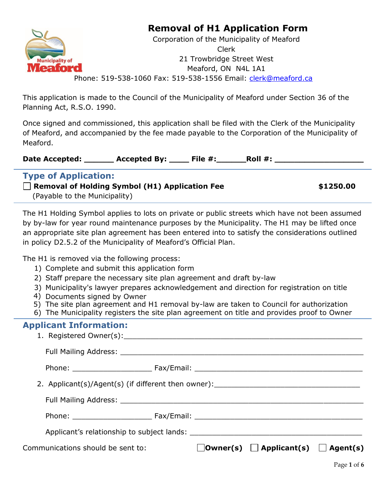# **Removal of H1 Application Form**



Corporation of the Municipality of Meaford Clerk 21 Trowbridge Street West Meaford, ON N4L 1A1 Phone: 519-538-1060 Fax: 519-538-1556 Email: [clerk@meaford.ca](mailto:clerk@meaford.ca)

This application is made to the Council of the Municipality of Meaford under Section 36 of the Planning Act, R.S.O. 1990.

Once signed and commissioned, this application shall be filed with the Clerk of the Municipality of Meaford, and accompanied by the fee made payable to the Corporation of the Municipality of Meaford.

Date Accepted: \_\_\_\_\_\_\_\_ Accepted By: \_\_\_\_\_ File #: \_\_\_\_\_\_\_ Roll #: \_\_

| <b>Type of Application:</b>                           |           |
|-------------------------------------------------------|-----------|
| $\Box$ Removal of Holding Symbol (H1) Application Fee | \$1250.00 |
| (Payable to the Municipality)                         |           |

The H1 Holding Symbol applies to lots on private or public streets which have not been assumed by by-law for year round maintenance purposes by the Municipality. The H1 may be lifted once an appropriate site plan agreement has been entered into to satisfy the considerations outlined in policy D2.5.2 of the Municipality of Meaford's Official Plan.

The H1 is removed via the following process:

- 1) Complete and submit this application form
- 2) Staff prepare the necessary site plan agreement and draft by-law
- 3) Municipality's lawyer prepares acknowledgement and direction for registration on title
- 4) Documents signed by Owner
- 5) The site plan agreement and H1 removal by-law are taken to Council for authorization
- 6) The Municipality registers the site plan agreement on title and provides proof to Owner

### **Applicant Information:**

| 2. Applicant(s)/Agent(s) (if different then owner): _____________________________ |                                                     |  |
|-----------------------------------------------------------------------------------|-----------------------------------------------------|--|
|                                                                                   |                                                     |  |
|                                                                                   |                                                     |  |
|                                                                                   |                                                     |  |
| Communications should be sent to:                                                 | $\Box$ Owner(s) $\Box$ Applicant(s) $\Box$ Agent(s) |  |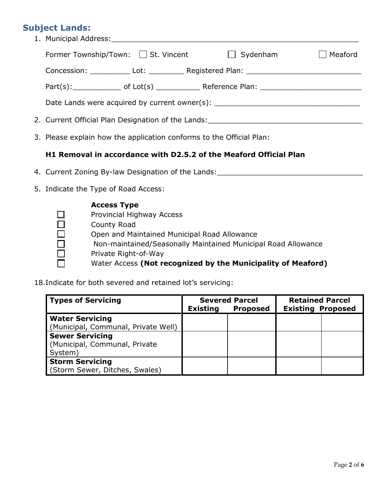#### **Subject Lands:**

1. Municipal Address:\_\_\_\_\_\_\_\_\_\_\_\_\_\_\_\_\_\_\_\_\_\_\_\_\_\_\_\_\_\_\_\_\_\_\_\_\_\_\_\_\_\_\_\_\_\_\_\_\_\_\_\_\_\_\_\_

| Former Township/Town: □ St. Vincent                                              |  | $\Box$ Sydenham                                                                   | Meaford |
|----------------------------------------------------------------------------------|--|-----------------------------------------------------------------------------------|---------|
|                                                                                  |  | Concession: _____________ Lot: _____________ Registered Plan: ___________________ |         |
|                                                                                  |  | Part(s): of Lot(s) Reference Plan: 2008.                                          |         |
| Date Lands were acquired by current owner(s): __________________________________ |  |                                                                                   |         |
| 2. Current Official Plan Designation of the Lands:                               |  |                                                                                   |         |

3. Please explain how the application conforms to the Official Plan:

#### **H1 Removal in accordance with D2.5.2 of the Meaford Official Plan**

- 4. Current Zoning By-law Designation of the Lands: \_\_\_\_\_\_\_\_\_\_\_\_\_\_\_\_\_\_\_\_\_\_\_\_\_\_\_\_\_
- 5. Indicate the Type of Road Access:

|        | <b>Access Type</b>                                            |
|--------|---------------------------------------------------------------|
| $\Box$ | Provincial Highway Access                                     |
| $\Box$ | County Road                                                   |
| $\Box$ | Open and Maintained Municipal Road Allowance                  |
| $\Box$ | Non-maintained/Seasonally Maintained Municipal Road Allowance |
| $\Box$ | Private Right-of-Way                                          |
|        | Water Access (Not recognized by the Municipality of Meaford)  |

18.Indicate for both severed and retained lot's servicing:

| <b>Types of Servicing</b>           | <b>Severed Parcel</b><br><b>Existing</b><br><b>Proposed</b> |  | <b>Retained Parcel</b><br><b>Existing Proposed</b> |  |
|-------------------------------------|-------------------------------------------------------------|--|----------------------------------------------------|--|
| <b>Water Servicing</b>              |                                                             |  |                                                    |  |
| (Municipal, Communal, Private Well) |                                                             |  |                                                    |  |
| <b>Sewer Servicing</b>              |                                                             |  |                                                    |  |
| (Municipal, Communal, Private       |                                                             |  |                                                    |  |
| System)                             |                                                             |  |                                                    |  |
| <b>Storm Servicing</b>              |                                                             |  |                                                    |  |
| (Storm Sewer, Ditches, Swales)      |                                                             |  |                                                    |  |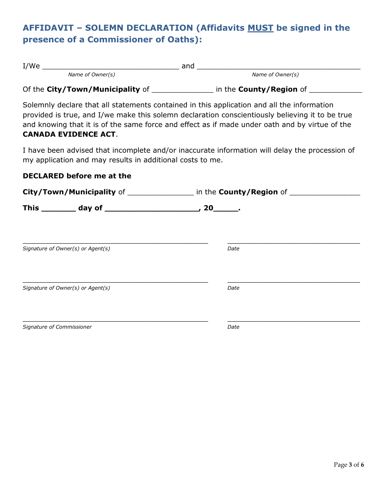### **AFFIDAVIT – SOLEMN DECLARATION (Affidavits MUST be signed in the presence of a Commissioner of Oaths):**

| I/W <sub>e</sub> |                  | anc<br>anu |                  |  |
|------------------|------------------|------------|------------------|--|
|                  | Name of Owner(s) |            | Name of Owner(s) |  |

Of the **City/Town/Municipality** of \_\_\_\_\_\_\_\_\_\_\_\_\_\_ in the **County/Region** of \_\_\_\_\_\_\_\_\_\_\_\_

Solemnly declare that all statements contained in this application and all the information provided is true, and I/we make this solemn declaration conscientiously believing it to be true and knowing that it is of the same force and effect as if made under oath and by virtue of the **CANADA EVIDENCE ACT**.

I have been advised that incomplete and/or inaccurate information will delay the procession of my application and may results in additional costs to me.

#### **DECLARED before me at the**

|                           |                                   | $20$ . |  |
|---------------------------|-----------------------------------|--------|--|
|                           | Signature of Owner(s) or Agent(s) | Date   |  |
|                           | Signature of Owner(s) or Agent(s) | Date   |  |
| Signature of Commissioner |                                   | Date   |  |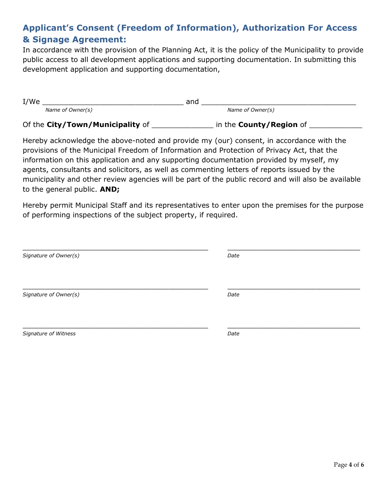#### **Applicant's Consent (Freedom of Information), Authorization For Access & Signage Agreement:**

In accordance with the provision of the Planning Act, it is the policy of the Municipality to provide public access to all development applications and supporting documentation. In submitting this development application and supporting documentation,

| I/We                             | and                            |
|----------------------------------|--------------------------------|
| Name of Owner(s)                 | Name of Owner(s)               |
| Of the City/Town/Municipality of | in the <b>County/Region</b> of |

Hereby acknowledge the above-noted and provide my (our) consent, in accordance with the provisions of the Municipal Freedom of Information and Protection of Privacy Act, that the information on this application and any supporting documentation provided by myself, my agents, consultants and solicitors, as well as commenting letters of reports issued by the municipality and other review agencies will be part of the public record and will also be available to the general public. **AND;**

Hereby permit Municipal Staff and its representatives to enter upon the premises for the purpose of performing inspections of the subject property, if required.

| Signature of Owner(s) | Date |
|-----------------------|------|
| Signature of Owner(s) | Date |
| Signature of Witness  | Date |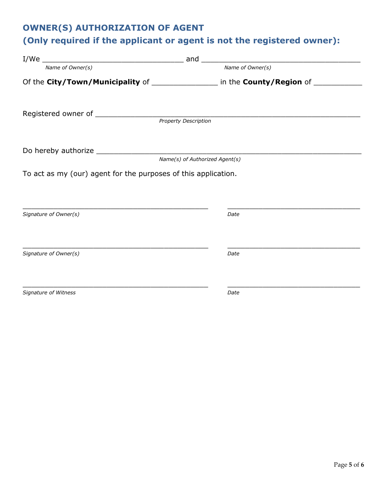# **OWNER(S) AUTHORIZATION OF AGENT**

# **(Only required if the applicant or agent is not the registered owner):**

|                                                                | <u> 1989 - Johann John Stone, mars eta biztanleria (</u>                               |
|----------------------------------------------------------------|----------------------------------------------------------------------------------------|
| Name of Owner(s)                                               | Name of Owner(s)                                                                       |
|                                                                | Of the City/Town/Municipality of _________________ in the County/Region of ___________ |
|                                                                | <b>Property Description</b>                                                            |
|                                                                | Name(s) of Authorized Agent(s)                                                         |
| To act as my (our) agent for the purposes of this application. |                                                                                        |
| Signature of Owner(s)                                          | Date                                                                                   |
| Signature of Owner(s)                                          | Date                                                                                   |
| Signature of Witness                                           | Date                                                                                   |